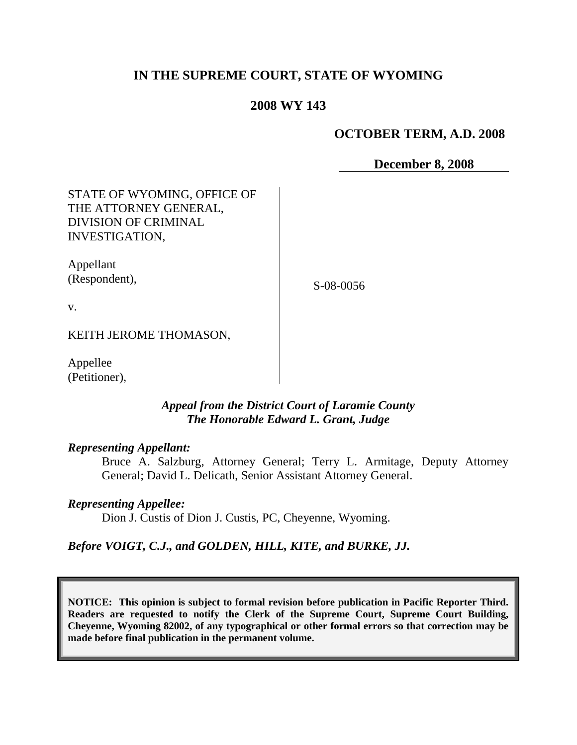# **IN THE SUPREME COURT, STATE OF WYOMING**

## **2008 WY 143**

### **OCTOBER TERM, A.D. 2008**

**December 8, 2008**

STATE OF WYOMING, OFFICE OF THE ATTORNEY GENERAL, DIVISION OF CRIMINAL INVESTIGATION,

Appellant (Respondent),

S-08-0056

v.

KEITH JEROME THOMASON,

Appellee (Petitioner),

### *Appeal from the District Court of Laramie County The Honorable Edward L. Grant, Judge*

#### *Representing Appellant:*

Bruce A. Salzburg, Attorney General; Terry L. Armitage, Deputy Attorney General; David L. Delicath, Senior Assistant Attorney General.

### *Representing Appellee:*

Dion J. Custis of Dion J. Custis, PC, Cheyenne, Wyoming.

### *Before VOIGT, C.J., and GOLDEN, HILL, KITE, and BURKE, JJ.*

**NOTICE: This opinion is subject to formal revision before publication in Pacific Reporter Third. Readers are requested to notify the Clerk of the Supreme Court, Supreme Court Building, Cheyenne, Wyoming 82002, of any typographical or other formal errors so that correction may be made before final publication in the permanent volume.**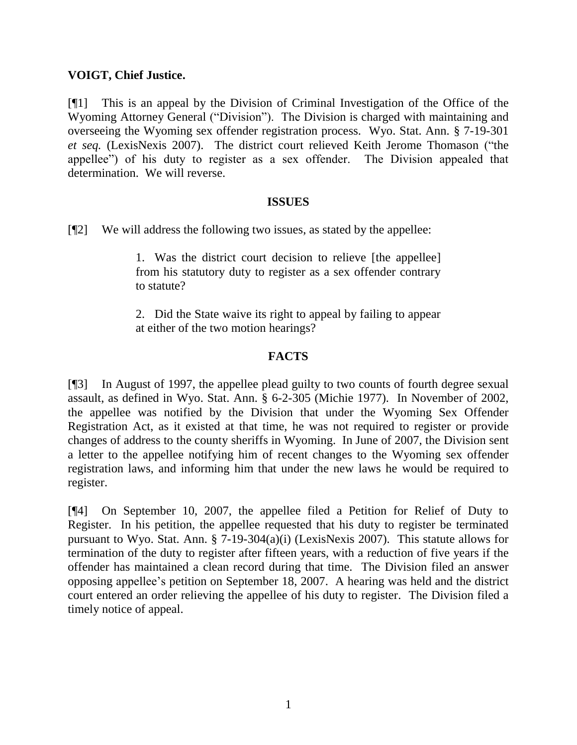## **VOIGT, Chief Justice.**

[¶1] This is an appeal by the Division of Criminal Investigation of the Office of the Wyoming Attorney General ("Division"). The Division is charged with maintaining and overseeing the Wyoming sex offender registration process. Wyo. Stat. Ann. § 7-19-301 *et seq.* (LexisNexis 2007). The district court relieved Keith Jerome Thomason ("the appellee") of his duty to register as a sex offender. The Division appealed that determination. We will reverse.

#### **ISSUES**

[¶2] We will address the following two issues, as stated by the appellee:

1. Was the district court decision to relieve [the appellee] from his statutory duty to register as a sex offender contrary to statute?

2. Did the State waive its right to appeal by failing to appear at either of the two motion hearings?

## **FACTS**

[¶3] In August of 1997, the appellee plead guilty to two counts of fourth degree sexual assault, as defined in Wyo. Stat. Ann. § 6-2-305 (Michie 1977). In November of 2002, the appellee was notified by the Division that under the Wyoming Sex Offender Registration Act, as it existed at that time, he was not required to register or provide changes of address to the county sheriffs in Wyoming. In June of 2007, the Division sent a letter to the appellee notifying him of recent changes to the Wyoming sex offender registration laws, and informing him that under the new laws he would be required to register.

[¶4] On September 10, 2007, the appellee filed a Petition for Relief of Duty to Register. In his petition, the appellee requested that his duty to register be terminated pursuant to Wyo. Stat. Ann. § 7-19-304(a)(i) (LexisNexis 2007). This statute allows for termination of the duty to register after fifteen years, with a reduction of five years if the offender has maintained a clean record during that time. The Division filed an answer opposing appellee's petition on September 18, 2007. A hearing was held and the district court entered an order relieving the appellee of his duty to register. The Division filed a timely notice of appeal.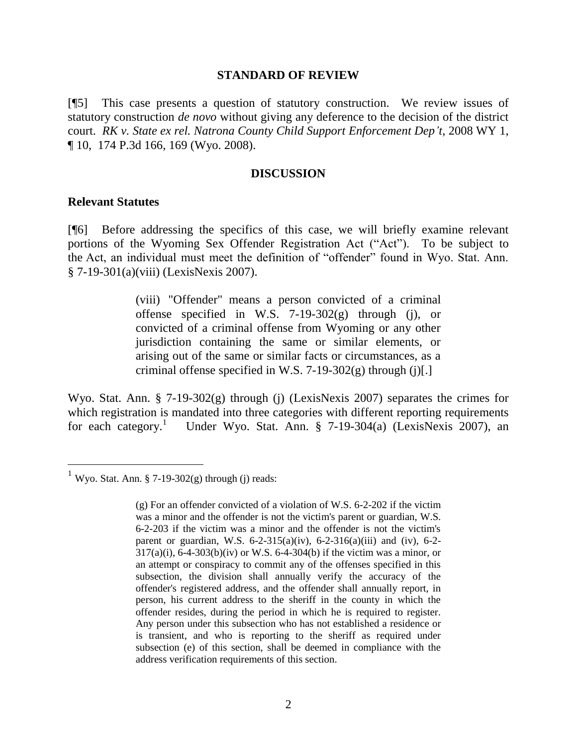#### **STANDARD OF REVIEW**

[¶5] This case presents a question of statutory construction. We review issues of statutory construction *de novo* without giving any deference to the decision of the district court. *RK v. State ex rel. Natrona County Child Support Enforcement Dep't*, 2008 WY 1, ¶ 10, 174 P.3d 166, 169 (Wyo. 2008).

#### **DISCUSSION**

#### **Relevant Statutes**

 $\overline{a}$ 

[¶6] Before addressing the specifics of this case, we will briefly examine relevant portions of the Wyoming Sex Offender Registration Act ("Act"). To be subject to the Act, an individual must meet the definition of "offender" found in Wyo. Stat. Ann. § 7-19-301(a)(viii) (LexisNexis 2007).

> (viii) "Offender" means a person convicted of a criminal offense specified in W.S. 7-19-302 $(g)$  through (j), or convicted of a criminal offense from Wyoming or any other jurisdiction containing the same or similar elements, or arising out of the same or similar facts or circumstances, as a criminal offense specified in W.S.  $7-19-302(g)$  through (j)[.]

Wyo. Stat. Ann. § 7-19-302(g) through (j) (LexisNexis 2007) separates the crimes for which registration is mandated into three categories with different reporting requirements for each category.<sup>1</sup> Under Wyo. Stat. Ann. § 7-19-304(a) (LexisNexis 2007), an

<sup>&</sup>lt;sup>1</sup> Wyo. Stat. Ann. § 7-19-302(g) through (j) reads:

<sup>(</sup>g) For an offender convicted of a violation of W.S. 6-2-202 if the victim was a minor and the offender is not the victim's parent or guardian, W.S. 6-2-203 if the victim was a minor and the offender is not the victim's parent or guardian, W.S.  $6-2-315(a)(iv)$ ,  $6-2-316(a)(iii)$  and (iv),  $6-2 317(a)(i)$ , 6-4-303(b)(iv) or W.S. 6-4-304(b) if the victim was a minor, or an attempt or conspiracy to commit any of the offenses specified in this subsection, the division shall annually verify the accuracy of the offender's registered address, and the offender shall annually report, in person, his current address to the sheriff in the county in which the offender resides, during the period in which he is required to register. Any person under this subsection who has not established a residence or is transient, and who is reporting to the sheriff as required under subsection (e) of this section, shall be deemed in compliance with the address verification requirements of this section.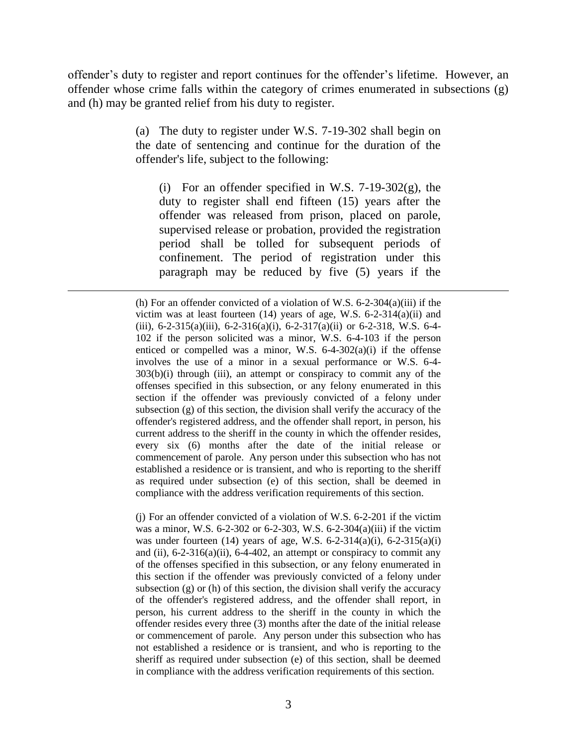offender's duty to register and report continues for the offender's lifetime. However, an offender whose crime falls within the category of crimes enumerated in subsections (g) and (h) may be granted relief from his duty to register.

> (a) The duty to register under W.S. 7-19-302 shall begin on the date of sentencing and continue for the duration of the offender's life, subject to the following:

(i) For an offender specified in W.S.  $7-19-302(g)$ , the duty to register shall end fifteen (15) years after the offender was released from prison, placed on parole, supervised release or probation, provided the registration period shall be tolled for subsequent periods of confinement. The period of registration under this paragraph may be reduced by five (5) years if the

 $\overline{a}$ 

(j) For an offender convicted of a violation of W.S. 6-2-201 if the victim was a minor, W.S. 6-2-302 or 6-2-303, W.S. 6-2-304(a)(iii) if the victim was under fourteen (14) years of age, W.S.  $6-2-314(a)(i)$ ,  $6-2-315(a)(i)$ and (ii),  $6-2-316(a)(ii)$ ,  $6-4-402$ , an attempt or conspiracy to commit any of the offenses specified in this subsection, or any felony enumerated in this section if the offender was previously convicted of a felony under subsection (g) or (h) of this section, the division shall verify the accuracy of the offender's registered address, and the offender shall report, in person, his current address to the sheriff in the county in which the offender resides every three (3) months after the date of the initial release or commencement of parole. Any person under this subsection who has not established a residence or is transient, and who is reporting to the sheriff as required under subsection (e) of this section, shall be deemed in compliance with the address verification requirements of this section.

<sup>(</sup>h) For an offender convicted of a violation of W.S. 6-2-304(a)(iii) if the victim was at least fourteen  $(14)$  years of age, W.S. 6-2-314 $(a)(ii)$  and (iii),  $6-2-315(a)$ (iii),  $6-2-316(a)$ (i),  $6-2-317(a)$ (ii) or  $6-2-318$ , W.S.  $6-4-$ 102 if the person solicited was a minor, W.S. 6-4-103 if the person enticed or compelled was a minor, W.S. 6-4-302(a)(i) if the offense involves the use of a minor in a sexual performance or W.S. 6-4- 303(b)(i) through (iii), an attempt or conspiracy to commit any of the offenses specified in this subsection, or any felony enumerated in this section if the offender was previously convicted of a felony under subsection (g) of this section, the division shall verify the accuracy of the offender's registered address, and the offender shall report, in person, his current address to the sheriff in the county in which the offender resides, every six (6) months after the date of the initial release or commencement of parole. Any person under this subsection who has not established a residence or is transient, and who is reporting to the sheriff as required under subsection (e) of this section, shall be deemed in compliance with the address verification requirements of this section.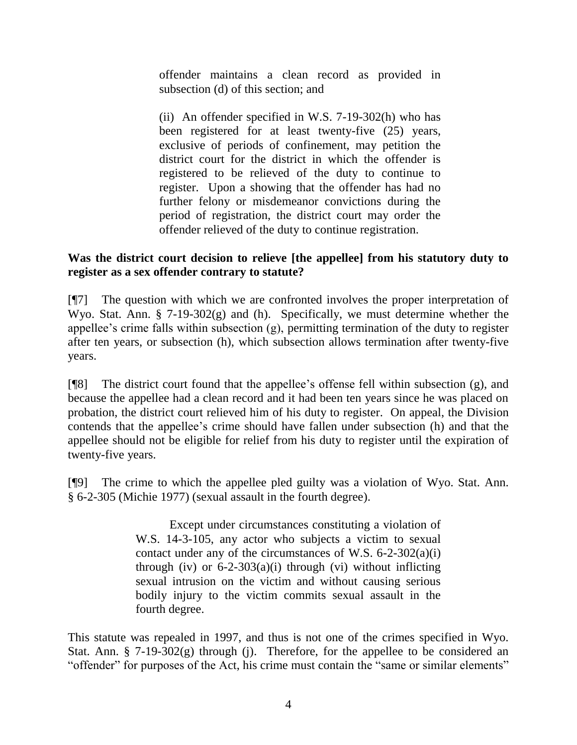offender maintains a clean record as provided in subsection (d) of this section; and

(ii) An offender specified in W.S.  $7-19-302(h)$  who has been registered for at least twenty-five (25) years, exclusive of periods of confinement, may petition the district court for the district in which the offender is registered to be relieved of the duty to continue to register. Upon a showing that the offender has had no further felony or misdemeanor convictions during the period of registration, the district court may order the offender relieved of the duty to continue registration.

# **Was the district court decision to relieve [the appellee] from his statutory duty to register as a sex offender contrary to statute?**

[¶7] The question with which we are confronted involves the proper interpretation of Wyo. Stat. Ann. § 7-19-302(g) and (h). Specifically, we must determine whether the appellee's crime falls within subsection (g), permitting termination of the duty to register after ten years, or subsection (h), which subsection allows termination after twenty-five years.

[¶8] The district court found that the appellee's offense fell within subsection (g), and because the appellee had a clean record and it had been ten years since he was placed on probation, the district court relieved him of his duty to register. On appeal, the Division contends that the appellee's crime should have fallen under subsection (h) and that the appellee should not be eligible for relief from his duty to register until the expiration of twenty-five years.

[¶9] The crime to which the appellee pled guilty was a violation of Wyo. Stat. Ann. § 6-2-305 (Michie 1977) (sexual assault in the fourth degree).

> Except under circumstances constituting a violation of W.S. 14-3-105, any actor who subjects a victim to sexual contact under any of the circumstances of W.S. 6-2-302(a)(i) through (iv) or  $6-2-303(a)(i)$  through (vi) without inflicting sexual intrusion on the victim and without causing serious bodily injury to the victim commits sexual assault in the fourth degree.

This statute was repealed in 1997, and thus is not one of the crimes specified in Wyo. Stat. Ann.  $\S$  7-19-302(g) through (j). Therefore, for the appellee to be considered an "offender" for purposes of the Act, his crime must contain the "same or similar elements"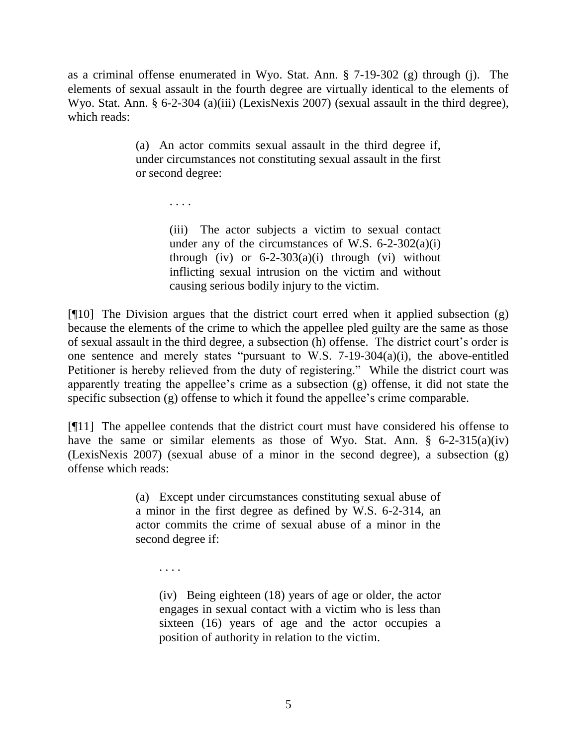as a criminal offense enumerated in Wyo. Stat. Ann. § 7-19-302 (g) through (j). The elements of sexual assault in the fourth degree are virtually identical to the elements of Wyo. Stat. Ann. § 6-2-304 (a)(iii) (LexisNexis 2007) (sexual assault in the third degree), which reads:

> (a) An actor commits sexual assault in the third degree if, under circumstances not constituting sexual assault in the first or second degree:

> > . . . .

(iii) The actor subjects a victim to sexual contact under any of the circumstances of W.S.  $6-2-302(a)(i)$ through (iv) or  $6-2-303(a)(i)$  through (vi) without inflicting sexual intrusion on the victim and without causing serious bodily injury to the victim.

 $[$ [[10] The Division argues that the district court erred when it applied subsection  $(g)$ because the elements of the crime to which the appellee pled guilty are the same as those of sexual assault in the third degree, a subsection (h) offense. The district court's order is one sentence and merely states "pursuant to W.S. 7-19-304(a)(i), the above-entitled Petitioner is hereby relieved from the duty of registering." While the district court was apparently treating the appellee's crime as a subsection (g) offense, it did not state the specific subsection (g) offense to which it found the appellee's crime comparable.

[¶11] The appellee contends that the district court must have considered his offense to have the same or similar elements as those of Wyo. Stat. Ann.  $\S$  6-2-315(a)(iv) (LexisNexis 2007) (sexual abuse of a minor in the second degree), a subsection (g) offense which reads:

> (a) Except under circumstances constituting sexual abuse of a minor in the first degree as defined by W.S. 6-2-314, an actor commits the crime of sexual abuse of a minor in the second degree if:

. . . .

(iv) Being eighteen (18) years of age or older, the actor engages in sexual contact with a victim who is less than sixteen (16) years of age and the actor occupies a position of authority in relation to the victim.